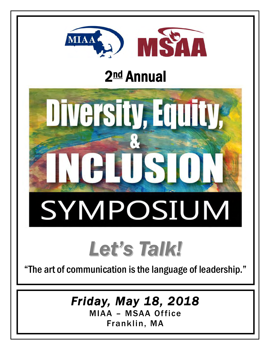

# *Friday, May 18, 2018*

MIAA – MSAA Office Franklin, MA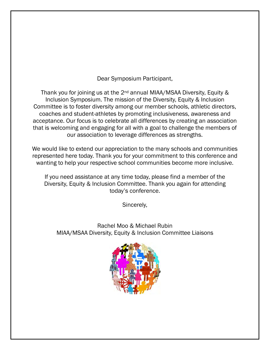Dear Symposium Participant,

Thank you for joining us at the 2nd annual MIAA/MSAA Diversity, Equity & Inclusion Symposium. The mission of the Diversity, Equity & Inclusion Committee is to foster diversity among our member schools, athletic directors, coaches and student-athletes by promoting inclusiveness, awareness and acceptance. Our focus is to celebrate all differences by creating an association that is welcoming and engaging for all with a goal to challenge the members of our association to leverage differences as strengths.

We would like to extend our appreciation to the many schools and communities represented here today. Thank you for your commitment to this conference and wanting to help your respective school communities become more inclusive.

If you need assistance at any time today, please find a member of the Diversity, Equity & Inclusion Committee. Thank you again for attending today's conference.

Sincerely,

Rachel Moo & Michael Rubin MIAA/MSAA Diversity, Equity & Inclusion Committee Liaisons

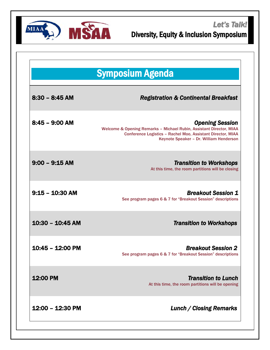

| <b>Symposium Agenda</b> |                                                                                                                                                                                                         |  |
|-------------------------|---------------------------------------------------------------------------------------------------------------------------------------------------------------------------------------------------------|--|
| $8:30 - 8:45$ AM        | <b>Registration &amp; Continental Breakfast</b>                                                                                                                                                         |  |
| $8:45 - 9:00$ AM        | <b>Opening Session</b><br>Welcome & Opening Remarks - Michael Rubin, Assistant Director, MIAA<br>Conference Logistics - Rachel Moo, Assistant Director, MIAA<br>Keynote Speaker - Dr. William Henderson |  |
| $9:00 - 9:15$ AM        | <b>Transition to Workshops</b><br>At this time, the room partitions will be closing                                                                                                                     |  |
| $9:15 - 10:30$ AM       | <b>Breakout Session 1</b><br>See program pages 6 & 7 for "Breakout Session" descriptions                                                                                                                |  |
| 10:30 - 10:45 AM        | <b>Transition to Workshops</b>                                                                                                                                                                          |  |
| $10:45 - 12:00$ PM      | <b>Breakout Session 2</b><br>See program pages 6 & 7 for "Breakout Session" descriptions                                                                                                                |  |
| 12:00 PM                | <b>Transition to Lunch</b><br>At this time, the room partitions will be opening                                                                                                                         |  |
| 12:00 - 12:30 PM        | <b>Lunch / Closing Remarks</b>                                                                                                                                                                          |  |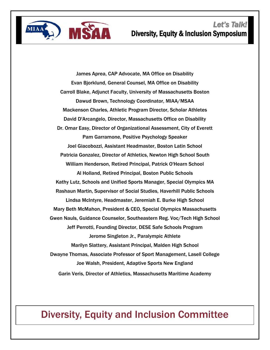

James Aprea, CAP Advocate, MA Office on Disability Evan Bjorklund, General Counsel, MA Office on Disability Carroll Blake, Adjunct Faculty, University of Massachusetts Boston Dawud Brown, Technology Coordinator, MIAA/MSAA Mackenson Charles, Athletic Program Director, Scholar Athletes David D'Arcangelo, Director, Massachusetts Office on Disability Dr. Omar Easy, Director of Organizational Assessment, City of Everett Pam Garramone, Positive Psychology Speaker Joel Giacobozzi, Assistant Headmaster, Boston Latin School Patricia Gonzalez, Director of Athletics, Newton High School South William Henderson, Retired Principal, Patrick O'Hearn School Al Holland, Retired Principal, Boston Public Schools Kathy Lutz, Schools and Unified Sports Manager, Special Olympics MA Rashaun Martin, Supervisor of Social Studies, Haverhill Public Schools Lindsa McIntyre, Headmaster, Jeremiah E. Burke High School Mary Beth McMahon, President & CEO, Special Olympics Massachusetts Gwen Nauls, Guidance Counselor, Southeastern Reg. Voc/Tech High School Jeff Perrotti, Founding Director, DESE Safe Schools Program Jerome Singleton Jr., Paralympic Athlete Marilyn Slattery, Assistant Principal, Malden High School Dwayne Thomas, Associate Professor of Sport Management, Lasell College Joe Walsh, President, Adaptive Sports New England Garin Veris, Director of Athletics, Massachusetts Maritime Academy

# Diversity, Equity and Inclusion Committee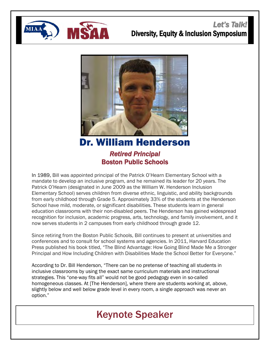



### Dr. William Henderson *Retired Principal*  Boston Public Schools

In 1989, Bill was appointed principal of the Patrick O'Hearn Elementary School with a mandate to develop an inclusive program, and he remained its leader for 20 years. The Patrick O'Hearn (designated in June 2009 as the William W. Henderson Inclusion Elementary School) serves children from diverse ethnic, linguistic, and ability backgrounds from early childhood through Grade 5. Approximately 33% of the students at the Henderson School have mild, moderate, or significant disabilities. These students learn in general education classrooms with their non-disabled peers. The Henderson has gained widespread recognition for inclusion, academic progress, arts, technology, and family involvement, and it now serves students in 2 campuses from early childhood through grade 12.

Since retiring from the Boston Public Schools, Bill continues to present at universities and conferences and to consult for school systems and agencies. In 2011, Harvard Education Press published his book titled, "The Blind Advantage: How Going Blind Made Me a Stronger Principal and How Including Children with Disabilities Made the School Better for Everyone."

According to Dr. Bill Henderson, "There can be no pretense of teaching all students in inclusive classrooms by using the exact same curriculum materials and instructional strategies. This "one-way fits all" would not be good pedagogy even in so-called homogeneous classes. At [The Henderson], where there are students working at, above, slightly below and well below grade level in every room, a single approach was never an option."

# Keynote Speaker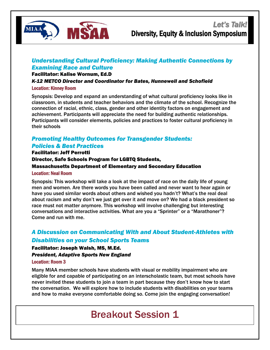

#### *Understanding Cultural Proficiency: Making Authentic Connections by Examining Race and Culture*

#### Facilitator: Kalise Wornum, Ed.D

*K-12 METCO Director and Coordinator for Bates, Hunnewell and Schofield*  Location: Kinney Room

Synopsis: Develop and expand an understanding of what cultural proficiency looks like in classroom, in students and teacher behaviors and the climate of the school. Recognize the connection of racial, ethnic, class, gender and other identity factors on engagement and achievement. Participants will appreciate the need for building authentic relationships. Participants will consider elements, policies and practices to foster cultural proficiency in their schools

#### *Promoting Healthy Outcomes for Transgender Students: Policies & Best Practices*

#### Facilitator: Jeff Perrotti

Director, Safe Schools Program for LGBTQ Students,

#### Massachusetts Department of Elementary and Secondary Education

#### Location: Neal Room

Synopsis: This workshop will take a look at the impact of race on the daily life of young men and women. Are there words you have been called and never want to hear again or have you used similar words about others and wished you hadn't? What's the real deal about racism and why don't we just get over it and move on? We had a black president so race must not matter anymore. This workshop will involve challenging but interesting conversations and interactive activities. What are you a "Sprinter" or a "Marathoner"? Come and run with me.

#### *A Discussion on Communicating With and About Student-Athletes with Disabilities on your School Sports Teams*

#### Facilitator: Joseph Walsh, MS, M.Ed. *President, Adaptive Sports New England* Location: Room 3

Many MIAA member schools have students with visual or mobility impairment who are eligible for and capable of participating on an interscholastic team, but most schools have never invited these students to join a team in part because they don't know how to start the conversation. We will explore how to include students with disabilities on your teams and how to make everyone comfortable doing so. Come join the engaging conversation!

# Breakout Session 1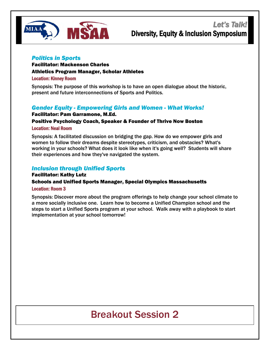

#### *Politics in Sports*

### Facilitator: Mackenson Charles

#### Athletics Program Manager, Scholar Athletes

#### Location: Kinney Room

Synopsis: The purpose of this workshop is to have an open dialogue about the historic, present and future interconnections of Sports and Politics.

#### *Gender Equity - Empowering Girls and Women - What Works!*

#### Facilitator: Pam Garramone, M.Ed.

#### Positive Psychology Coach, Speaker & Founder of Thrive Now Boston

#### Location: Neal Room

Synopsis: A facilitated discussion on bridging the gap. How do we empower girls and women to follow their dreams despite stereotypes, criticism, and obstacles? What's working in your schools? What does it look like when it's going well? Students will share their experiences and how they've navigated the system.

#### *Inclusion through Unified Sports*

#### Facilitator: Kathy Lutz Schools and Unified Sports Manager, Special Olympics Massachusetts Location: Room 3

Synopsis: Discover more about the program offerings to help change your school climate to a more socially inclusive one. Learn how to become a Unified Champion school and the steps to start a Unified Sports program at your school. Walk away with a playbook to start implementation at your school tomorrow!

# Breakout Session 2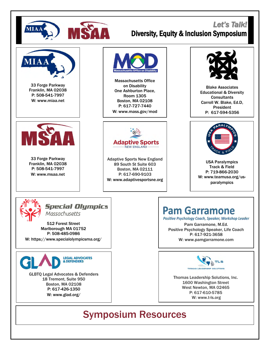

### Symposium Resources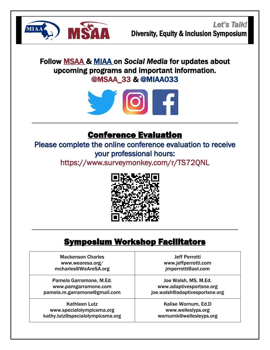

### Follow MSAA & MIAA on *Social Media* for updates about upcoming programs and important information. @MSAA\_33 & @MIAA033



### Conference Evaluation

Please complete the online conference evaluation to receive your professional hours:

https://www.surveymonkey.com/r/TS72QNL



# Symposium Workshop Facilitators

| <b>Mackenson Charles</b>         | <b>Jeff Perrotti</b>           |
|----------------------------------|--------------------------------|
| www.wearesa.org/                 | www.jeffperrotti.com           |
| mcharles@WeAreSA.org             | jmperrotti@aol.com             |
| Pamela Garramone, M.Ed.          | Joe Walsh, MS, M.Ed.           |
| www.pamgarramone.com             | www.adaptivesportsne.org       |
| pamela.m.garramone@gmail.com     | joe.walsh@adaptivesportsne.org |
| Kathleen Lutz                    | Kalise Wornum, Ed.D            |
| www.specialolympicsma.org        | www.welleslyps.org             |
| kathy.lutz@specialolympicsma.org | wornumk@wellesleyps.org        |